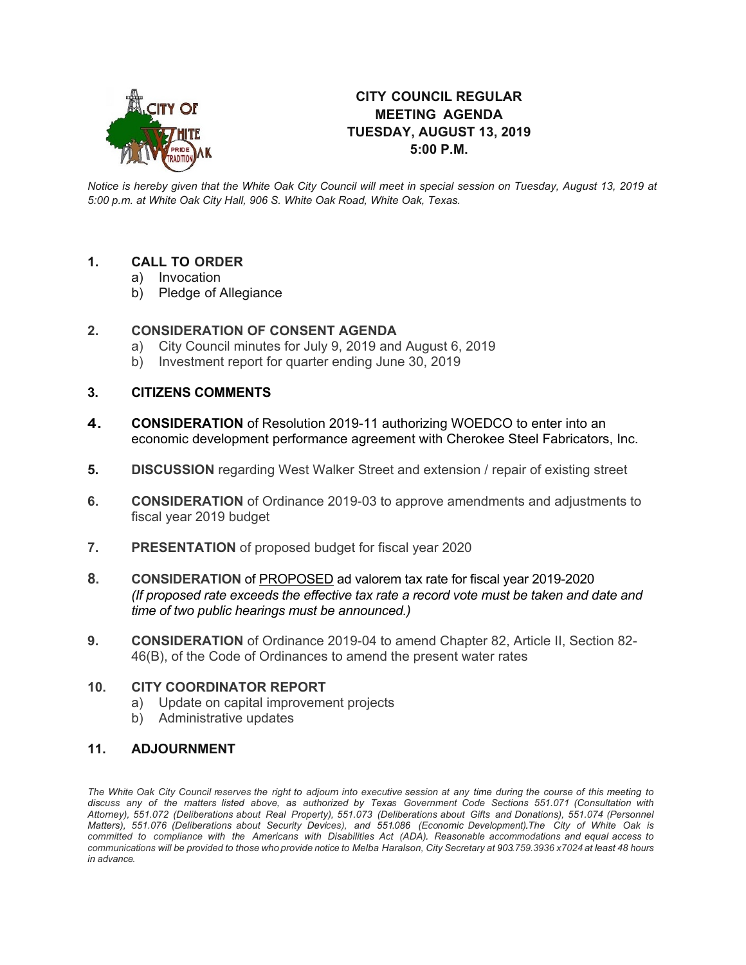

# **CITY COUNCIL REGULAR MEETING AGENDA TUESDAY, AUGUST 13, 2019 5:00 P.M.**

*Notice is hereby given that the White Oak City Council will meet in special session on Tuesday, August 13, 2019 at 5:00 p.m. at White Oak City Hall, 906 S. White Oak Road, White Oak, Texas.*

# **1. CALL TO ORDER**

- a) Invocation
- b) Pledge of Allegiance

## **2. CONSIDERATION OF CONSENT AGENDA**

- a) City Council minutes for July 9, 2019 and August 6, 2019
- b) Investment report for quarter ending June 30, 2019

## **3. CITIZENS COMMENTS**

- **4. CONSIDERATION** of Resolution 2019-11 authorizing WOEDCO to enter into an economic development performance agreement with Cherokee Steel Fabricators, Inc.
- **5. DISCUSSION** regarding West Walker Street and extension / repair of existing street
- **6. CONSIDERATION** of Ordinance 2019-03 to approve amendments and adjustments to fiscal year 2019 budget
- **7. PRESENTATION** of proposed budget for fiscal year 2020
- **8. CONSIDERATION** of PROPOSED ad valorem tax rate for fiscal year 2019-2020 *(If proposed rate exceeds the effective tax rate a record vote must be taken and date and time of two public hearings must be announced.)*
- **9. CONSIDERATION** of Ordinance 2019-04 to amend Chapter 82, Article II, Section 82- 46(B), of the Code of Ordinances to amend the present water rates

### **10. CITY COORDINATOR REPORT**

- a) Update on capital improvement projects
- b) Administrative updates

### **11. ADJOURNMENT**

The White Oak City Council reserves the right to adjourn into executive session at any time during the course of this meeting to discuss any of the matters listed above, as authorized by Texas Government Code Sections 551.071 (Consultation with *Attorney), 551.072 (Deliberations about Real Property), 551.073 (Deliberations about Gifts and Donations), 551.074 (Personnel Matters), 551.076 (Deliberations about Security Devices), and 551.086 (Economic Development).The City of White Oak is committed to compliance with the Americans with Disabilities Act (ADA). Reasonable accommodations and equal access to* communications will be provided to those who provide notice to Melba Haralson, City Secretary at 903.759.3936 x7024 at least 48 hours *in advance.*